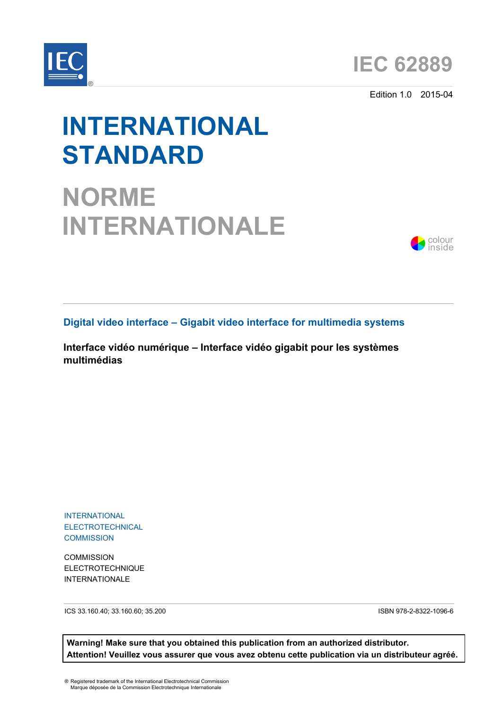



Edition 1.0 2015-04

# **INTERNATIONAL STANDARD**

# **NORME INTERNATIONALE**



**Digital video interface – Gigabit video interface for multimedia systems**

**Interface vidéo numérique – Interface vidéo gigabit pour les systèmes multimédias** 

INTERNATIONAL ELECTROTECHNICAL **COMMISSION** 

**COMMISSION** ELECTROTECHNIQUE INTERNATIONALE

ICS 33.160.40; 33.160.60; 35.200 ISBN 978-2-8322-1096-6

**Warning! Make sure that you obtained this publication from an authorized distributor. Attention! Veuillez vous assurer que vous avez obtenu cette publication via un distributeur agréé.**

® Registered trademark of the International Electrotechnical Commission Marque déposée de la Commission Electrotechnique Internationale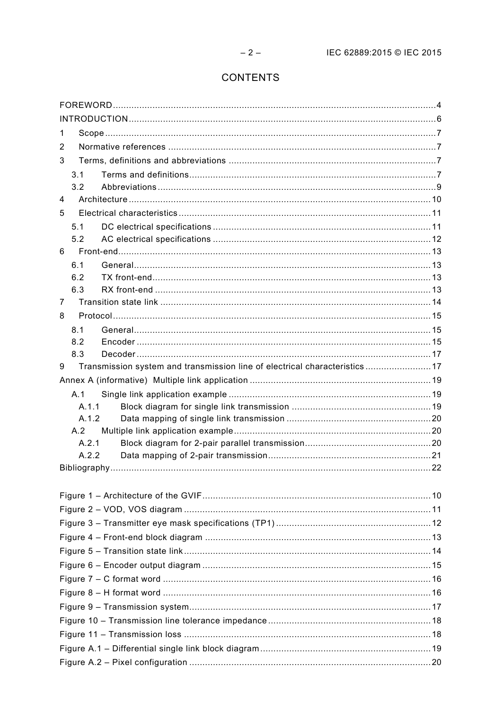## **CONTENTS**

| 1                                                                               |  |
|---------------------------------------------------------------------------------|--|
| 2                                                                               |  |
| 3                                                                               |  |
| 3.1                                                                             |  |
| 3.2                                                                             |  |
| 4                                                                               |  |
| 5                                                                               |  |
| 5.1                                                                             |  |
| 5.2                                                                             |  |
| 6                                                                               |  |
| 6.1                                                                             |  |
| 6.2                                                                             |  |
| 6.3                                                                             |  |
| 7                                                                               |  |
| 8                                                                               |  |
| 8.1<br>8.2                                                                      |  |
| 8.3                                                                             |  |
| 9<br>Transmission system and transmission line of electrical characteristics 17 |  |
|                                                                                 |  |
| A.1                                                                             |  |
| A.1.1                                                                           |  |
| A.1.2                                                                           |  |
| A.2                                                                             |  |
| A.2.1                                                                           |  |
| A.2.2                                                                           |  |
|                                                                                 |  |
|                                                                                 |  |
|                                                                                 |  |
|                                                                                 |  |
|                                                                                 |  |
|                                                                                 |  |
|                                                                                 |  |
|                                                                                 |  |
|                                                                                 |  |
|                                                                                 |  |
|                                                                                 |  |
|                                                                                 |  |
|                                                                                 |  |
|                                                                                 |  |
|                                                                                 |  |
|                                                                                 |  |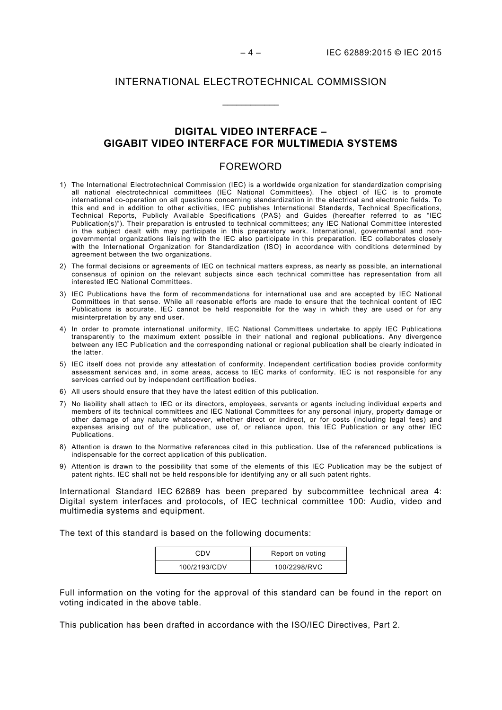### INTERNATIONAL ELECTROTECHNICAL COMMISSION

\_\_\_\_\_\_\_\_\_\_\_\_

## **DIGITAL VIDEO INTERFACE – GIGABIT VIDEO INTERFACE FOR MULTIMEDIA SYSTEMS**

## FOREWORD

- <span id="page-3-0"></span>1) The International Electrotechnical Commission (IEC) is a worldwide organization for standardization comprising all national electrotechnical committees (IEC National Committees). The object of IEC is to promote international co-operation on all questions concerning standardization in the electrical and electronic fields. To this end and in addition to other activities, IEC publishes International Standards, Technical Specifications, Technical Reports, Publicly Available Specifications (PAS) and Guides (hereafter referred to as "IEC Publication(s)"). Their preparation is entrusted to technical committees; any IEC National Committee interested in the subject dealt with may participate in this preparatory work. International, governmental and nongovernmental organizations liaising with the IEC also participate in this preparation. IEC collaborates closely with the International Organization for Standardization (ISO) in accordance with conditions determined by agreement between the two organizations.
- 2) The formal decisions or agreements of IEC on technical matters express, as nearly as possible, an international consensus of opinion on the relevant subjects since each technical committee has representation from all interested IEC National Committees.
- 3) IEC Publications have the form of recommendations for international use and are accepted by IEC National Committees in that sense. While all reasonable efforts are made to ensure that the technical content of IEC Publications is accurate, IEC cannot be held responsible for the way in which they are used or for any misinterpretation by any end user.
- 4) In order to promote international uniformity, IEC National Committees undertake to apply IEC Publications transparently to the maximum extent possible in their national and regional publications. Any divergence between any IEC Publication and the corresponding national or regional publication shall be clearly indicated in the latter.
- 5) IEC itself does not provide any attestation of conformity. Independent certification bodies provide conformity assessment services and, in some areas, access to IEC marks of conformity. IEC is not responsible for any services carried out by independent certification bodies.
- 6) All users should ensure that they have the latest edition of this publication.
- 7) No liability shall attach to IEC or its directors, employees, servants or agents including individual experts and members of its technical committees and IEC National Committees for any personal injury, property damage or other damage of any nature whatsoever, whether direct or indirect, or for costs (including legal fees) and expenses arising out of the publication, use of, or reliance upon, this IEC Publication or any other IEC Publications.
- 8) Attention is drawn to the Normative references cited in this publication. Use of the referenced publications is indispensable for the correct application of this publication.
- 9) Attention is drawn to the possibility that some of the elements of this IEC Publication may be the subject of patent rights. IEC shall not be held responsible for identifying any or all such patent rights.

International Standard IEC 62889 has been prepared by subcommittee technical area 4: Digital system interfaces and protocols, of IEC technical committee 100: Audio, video and multimedia systems and equipment.

The text of this standard is based on the following documents:

| CDV          | Report on voting |
|--------------|------------------|
| 100/2193/CDV | 100/2298/RVC     |

Full information on the voting for the approval of this standard can be found in the report on voting indicated in the above table.

This publication has been drafted in accordance with the ISO/IEC Directives, Part 2.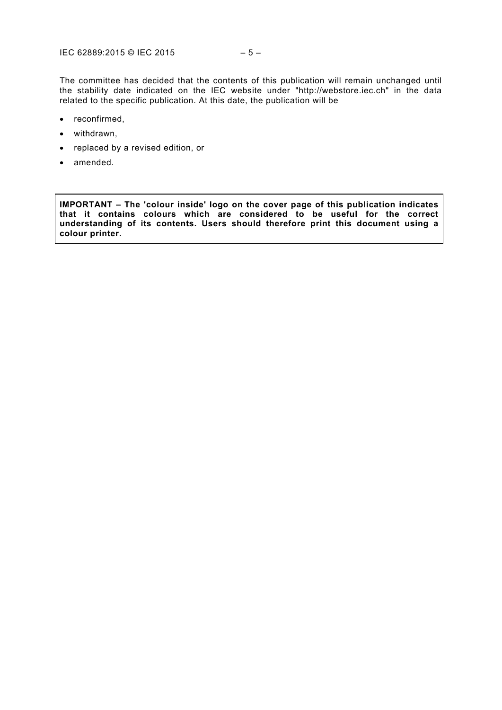The committee has decided that the contents of this publication will remain unchanged until the stability date indicated on the IEC website under "http://webstore.iec.ch" in the data related to the specific publication. At this date, the publication will be

- reconfirmed,
- withdrawn,
- replaced by a revised edition, or
- amended.

**IMPORTANT – The 'colour inside' logo on the cover page of this publication indicates that it contains colours which are considered to be useful for the correct understanding of its contents. Users should therefore print this document using a colour printer.**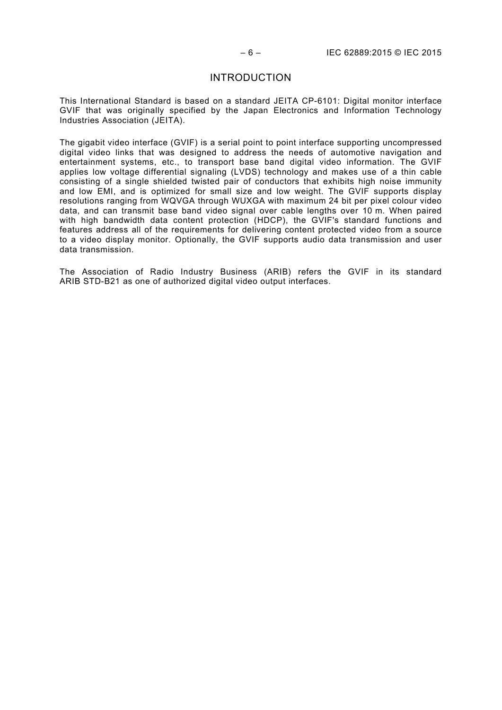#### INTRODUCTION

<span id="page-5-0"></span>This International Standard is based on a standard JEITA CP-6101: Digital monitor interface GVIF that was originally specified by the Japan Electronics and Information Technology Industries Association (JEITA).

The gigabit video interface (GVIF) is a serial point to point interface supporting uncompressed digital video links that was designed to address the needs of automotive navigation and entertainment systems, etc., to transport base band digital video information. The GVIF applies low voltage differential signaling (LVDS) technology and makes use of a thin cable consisting of a single shielded twisted pair of conductors that exhibits high noise immunity and low EMI, and is optimized for small size and low weight. The GVIF supports display resolutions ranging from WQVGA through WUXGA with maximum 24 bit per pixel colour video data, and can transmit base band video signal over cable lengths over 10 m. When paired with high bandwidth data content protection (HDCP), the GVIF's standard functions and features address all of the requirements for delivering content protected video from a source to a video display monitor. Optionally, the GVIF supports audio data transmission and user data transmission.

The Association of Radio Industry Business (ARIB) refers the GVIF in its standard ARIB STD-B21 as one of authorized digital video output interfaces.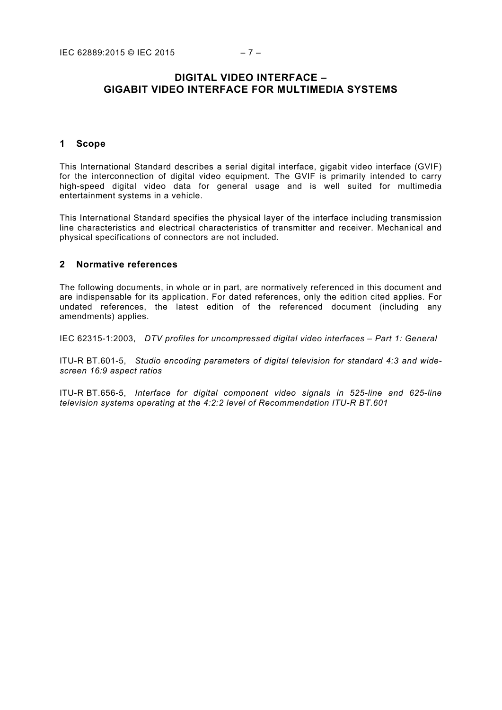## **DIGITAL VIDEO INTERFACE – GIGABIT VIDEO INTERFACE FOR MULTIMEDIA SYSTEMS**

#### <span id="page-6-0"></span>**1 Scope**

This International Standard describes a serial digital interface, gigabit video interface (GVIF) for the interconnection of digital video equipment. The GVIF is primarily intended to carry high-speed digital video data for general usage and is well suited for multimedia entertainment systems in a vehicle.

This International Standard specifies the physical layer of the interface including transmission line characteristics and electrical characteristics of transmitter and receiver. Mechanical and physical specifications of connectors are not included.

#### <span id="page-6-1"></span>**2 Normative references**

The following documents, in whole or in part, are normatively referenced in this document and are indispensable for its application. For dated references, only the edition cited applies. For undated references, the latest edition of the referenced document (including any amendments) applies.

IEC 62315-1:2003, *DTV profiles for uncompressed digital video interfaces – Part 1: General*

ITU-R BT.601-5, *Studio encoding parameters of digital television for standard 4:3 and widescreen 16:9 aspect ratios*

<span id="page-6-3"></span><span id="page-6-2"></span>ITU-R BT.656-5, *Interface for digital component video signals in 525-line and 625-line television systems operating at the 4:2:2 level of Recommendation ITU-R BT.601*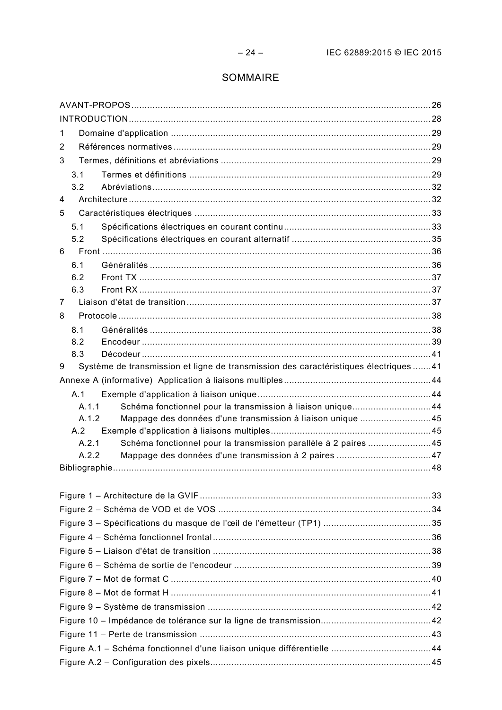## SOMMAIRE

| 1                                                                                         |  |
|-------------------------------------------------------------------------------------------|--|
| 2                                                                                         |  |
| 3                                                                                         |  |
| 3.1                                                                                       |  |
| 3.2                                                                                       |  |
| 4                                                                                         |  |
| 5                                                                                         |  |
| 5.1                                                                                       |  |
| 5.2                                                                                       |  |
| 6                                                                                         |  |
| 6.1                                                                                       |  |
| 6.2<br>6.3                                                                                |  |
| 7                                                                                         |  |
| 8                                                                                         |  |
| 8.1                                                                                       |  |
| 8.2                                                                                       |  |
| 8.3                                                                                       |  |
| Système de transmission et ligne de transmission des caractéristiques électriques 41<br>9 |  |
|                                                                                           |  |
| A.1                                                                                       |  |
| Schéma fonctionnel pour la transmission à liaison unique44<br>A.1.1                       |  |
| Mappage des données d'une transmission à liaison unique 45<br>A.1.2                       |  |
| A.2                                                                                       |  |
| A.2.1<br>Schéma fonctionnel pour la transmission parallèle à 2 paires 45                  |  |
| A.2.2                                                                                     |  |
|                                                                                           |  |
|                                                                                           |  |
|                                                                                           |  |
|                                                                                           |  |
|                                                                                           |  |
|                                                                                           |  |
|                                                                                           |  |
|                                                                                           |  |
|                                                                                           |  |
|                                                                                           |  |
|                                                                                           |  |
|                                                                                           |  |
|                                                                                           |  |
|                                                                                           |  |
|                                                                                           |  |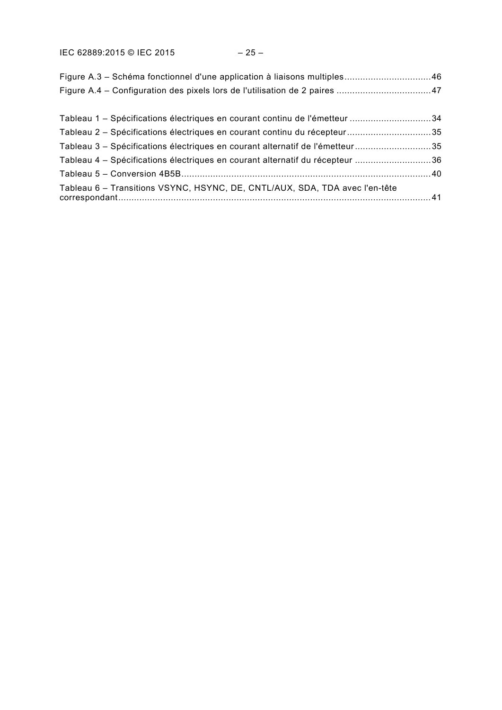IEC 62889:2015 © IEC 2015 – 25 –

| Figure A.3 - Schéma fonctionnel d'une application à liaisons multiples 46    |  |
|------------------------------------------------------------------------------|--|
| Figure A.4 – Configuration des pixels lors de l'utilisation de 2 paires 47   |  |
| Tableau 1 – Spécifications électriques en courant continu de l'émetteur 34   |  |
| Tableau 2 – Spécifications électriques en courant continu du récepteur35     |  |
| Tableau 3 – Spécifications électriques en courant alternatif de l'émetteur35 |  |
| Tableau 4 – Spécifications électriques en courant alternatif du récepteur 36 |  |
|                                                                              |  |
| Tableau 6 - Transitions VSYNC, HSYNC, DE, CNTL/AUX, SDA, TDA avec l'en-tête  |  |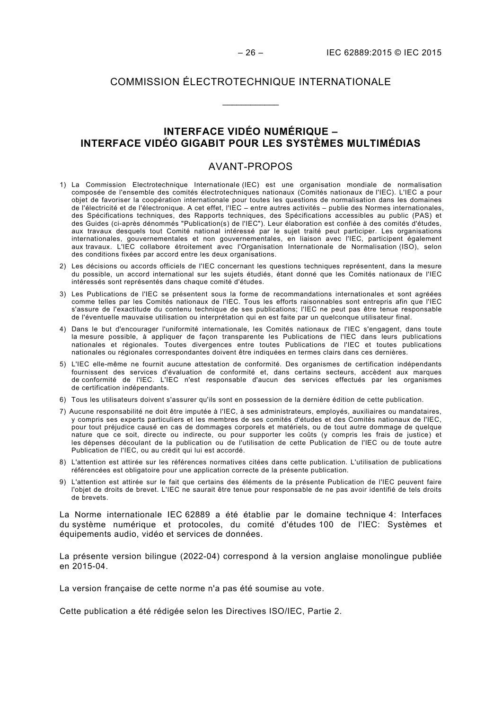## COMMISSION ÉLECTROTECHNIQUE INTERNATIONALE

\_\_\_\_\_\_\_\_\_\_\_\_

## **INTERFACE VIDÉO NUMÉRIQUE – INTERFACE VIDÉO GIGABIT POUR LES SYSTÈMES MULTIMÉDIAS**

#### AVANT-PROPOS

- <span id="page-9-0"></span>1) La Commission Electrotechnique Internationale (IEC) est une organisation mondiale de normalisation composée de l'ensemble des comités électrotechniques nationaux (Comités nationaux de l'IEC). L'IEC a pour objet de favoriser la coopération internationale pour toutes les questions de normalisation dans les domaines de l'électricité et de l'électronique. A cet effet, l'IEC – entre autres activités – publie des Normes internationales, des Spécifications techniques, des Rapports techniques, des Spécifications accessibles au public (PAS) et des Guides (ci-après dénommés "Publication(s) de l'IEC"). Leur élaboration est confiée à des comités d'études, aux travaux desquels tout Comité national intéressé par le sujet traité peut participer. Les organisations internationales, gouvernementales et non gouvernementales, en liaison avec l'IEC, participent également aux travaux. L'IEC collabore étroitement avec l'Organisation Internationale de Normalisation (ISO), selon des conditions fixées par accord entre les deux organisations.
- 2) Les décisions ou accords officiels de l'IEC concernant les questions techniques représentent, dans la mesure du possible, un accord international sur les sujets étudiés, étant donné que les Comités nationaux de l'IEC intéressés sont représentés dans chaque comité d'études.
- 3) Les Publications de l'IEC se présentent sous la forme de recommandations internationales et sont agréées comme telles par les Comités nationaux de l'IEC. Tous les efforts raisonnables sont entrepris afin que l'IEC s'assure de l'exactitude du contenu technique de ses publications; l'IEC ne peut pas être tenue responsable de l'éventuelle mauvaise utilisation ou interprétation qui en est faite par un quelconque utilisateur final.
- 4) Dans le but d'encourager l'uniformité internationale, les Comités nationaux de l'IEC s'engagent, dans toute la mesure possible, à appliquer de façon transparente les Publications de l'IEC dans leurs publications nationales et régionales. Toutes divergences entre toutes Publications de l'IEC et toutes publications nationales ou régionales correspondantes doivent être indiquées en termes clairs dans ces dernières.
- 5) L'IEC elle-même ne fournit aucune attestation de conformité. Des organismes de certification indépendants fournissent des services d'évaluation de conformité et, dans certains secteurs, accèdent aux marques de conformité de l'IEC. L'IEC n'est responsable d'aucun des services effectués par les organismes de certification indépendants.
- 6) Tous les utilisateurs doivent s'assurer qu'ils sont en possession de la dernière édition de cette publication.
- 7) Aucune responsabilité ne doit être imputée à l'IEC, à ses administrateurs, employés, auxiliaires ou mandataires, y compris ses experts particuliers et les membres de ses comités d'études et des Comités nationaux de l'IEC, pour tout préjudice causé en cas de dommages corporels et matériels, ou de tout autre dommage de quelque nature que ce soit, directe ou indirecte, ou pour supporter les coûts (y compris les frais de justice) et les dépenses découlant de la publication ou de l'utilisation de cette Publication de l'IEC ou de toute autre Publication de l'IEC, ou au crédit qui lui est accordé.
- 8) L'attention est attirée sur les références normatives citées dans cette publication. L'utilisation de publications référencées est obligatoire pour une application correcte de la présente publication.
- 9) L'attention est attirée sur le fait que certains des éléments de la présente Publication de l'IEC peuvent faire l'objet de droits de brevet. L'IEC ne saurait être tenue pour responsable de ne pas avoir identifié de tels droits de brevets.

La Norme internationale IEC 62889 a été établie par le domaine technique 4: Interfaces du système numérique et protocoles, du comité d'études 100 de l'IEC: Systèmes et équipements audio, vidéo et services de données.

La présente version bilingue (2022-04) correspond à la version anglaise monolingue publiée en 2015-04.

La version française de cette norme n'a pas été soumise au vote.

Cette publication a été rédigée selon les Directives ISO/IEC, Partie 2.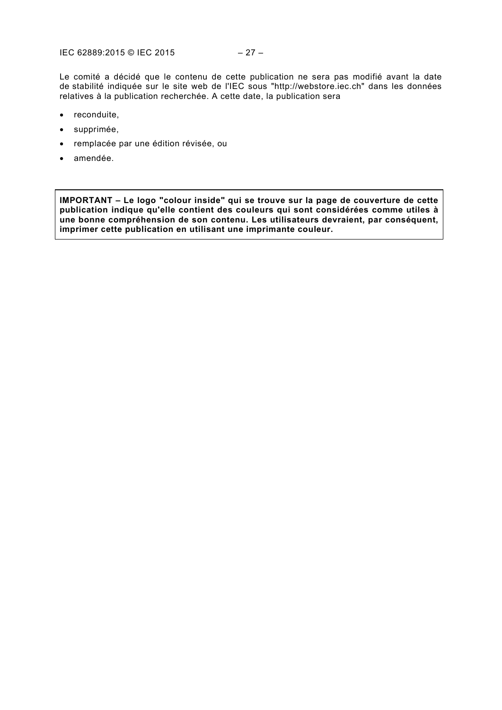Le comité a décidé que le contenu de cette publication ne sera pas modifié avant la date de stabilité indiquée sur le site web de l'IEC sous "http://webstore.iec.ch" dans les données relatives à la publication recherchée. A cette date, la publication sera

- reconduite,
- supprimée,
- remplacée par une édition révisée, ou
- amendée.

**IMPORTANT – Le logo "colour inside" qui se trouve sur la page de couverture de cette publication indique qu'elle contient des couleurs qui sont considérées comme utiles à une bonne compréhension de son contenu. Les utilisateurs devraient, par conséquent, imprimer cette publication en utilisant une imprimante couleur.**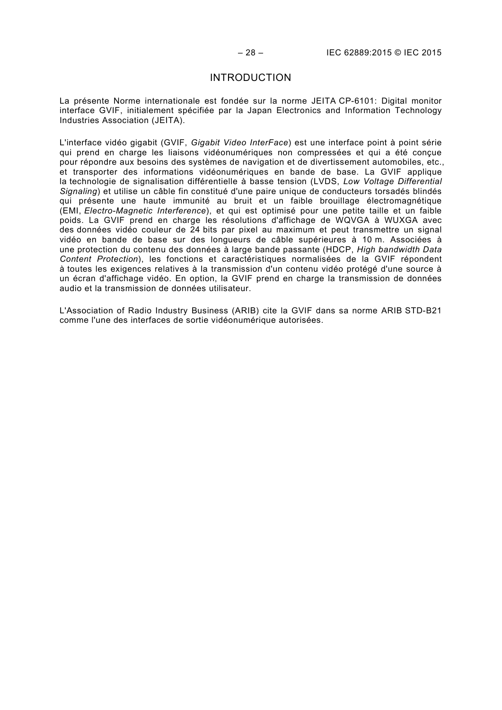#### INTRODUCTION

<span id="page-11-0"></span>La présente Norme internationale est fondée sur la norme JEITA CP-6101: Digital monitor interface GVIF, initialement spécifiée par la Japan Electronics and Information Technology Industries Association (JEITA).

L'interface vidéo gigabit (GVIF, *Gigabit Video InterFace*) est une interface point à point série qui prend en charge les liaisons vidéonumériques non compressées et qui a été conçue pour répondre aux besoins des systèmes de navigation et de divertissement automobiles, etc., et transporter des informations vidéonumériques en bande de base. La GVIF applique la technologie de signalisation différentielle à basse tension (LVDS, *Low Voltage Differential Signaling*) et utilise un câble fin constitué d'une paire unique de conducteurs torsadés blindés qui présente une haute immunité au bruit et un faible brouillage électromagnétique (EMI, *Electro-Magnetic Interference*), et qui est optimisé pour une petite taille et un faible poids. La GVIF prend en charge les résolutions d'affichage de WQVGA à WUXGA avec des données vidéo couleur de 24 bits par pixel au maximum et peut transmettre un signal vidéo en bande de base sur des longueurs de câble supérieures à 10 m. Associées à une protection du contenu des données à large bande passante (HDCP, *High bandwidth Data Content Protection*), les fonctions et caractéristiques normalisées de la GVIF répondent à toutes les exigences relatives à la transmission d'un contenu vidéo protégé d'une source à un écran d'affichage vidéo. En option, la GVIF prend en charge la transmission de données audio et la transmission de données utilisateur.

L'Association of Radio Industry Business (ARIB) cite la GVIF dans sa norme ARIB STD-B21 comme l'une des interfaces de sortie vidéonumérique autorisées.